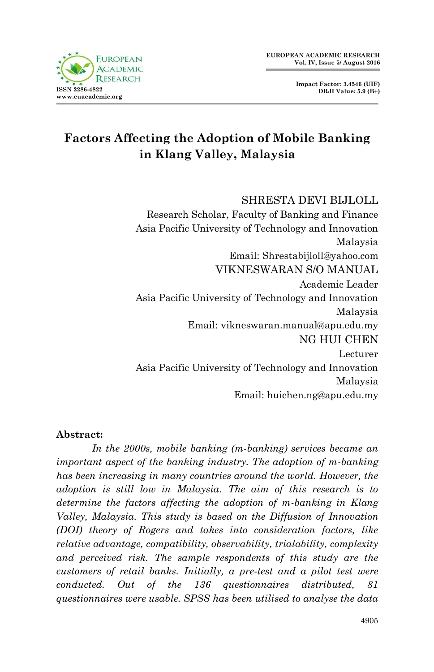**Impact Factor: 3.4546 (UIF) DRJI Value: 5.9 (B+)**



# **Factors Affecting the Adoption of Mobile Banking in Klang Valley, Malaysia**

#### SHRESTA DEVI BIJLOLL

 Research Scholar, Faculty of Banking and Finance Asia Pacific University of Technology and Innovation Malaysia Email: Shrestabijloll@yahoo.com VIKNESWARAN S/O MANUAL Academic Leader Asia Pacific University of Technology and Innovation Malaysia Email: vikneswaran.manual@apu.edu.my NG HUI CHEN Lecturer Asia Pacific University of Technology and Innovation Malaysia Email: huichen.ng@apu.edu.my

#### **Abstract:**

*In the 2000s, mobile banking (m-banking) services became an important aspect of the banking industry. The adoption of m-banking has been increasing in many countries around the world. However, the adoption is still low in Malaysia. The aim of this research is to determine the factors affecting the adoption of m-banking in Klang Valley, Malaysia. This study is based on the Diffusion of Innovation (DOI) theory of Rogers and takes into consideration factors, like relative advantage, compatibility, observability, trialability, complexity and perceived risk. The sample respondents of this study are the customers of retail banks. Initially, a pre-test and a pilot test were conducted. Out of the 136 questionnaires distributed, 81 questionnaires were usable. SPSS has been utilised to analyse the data*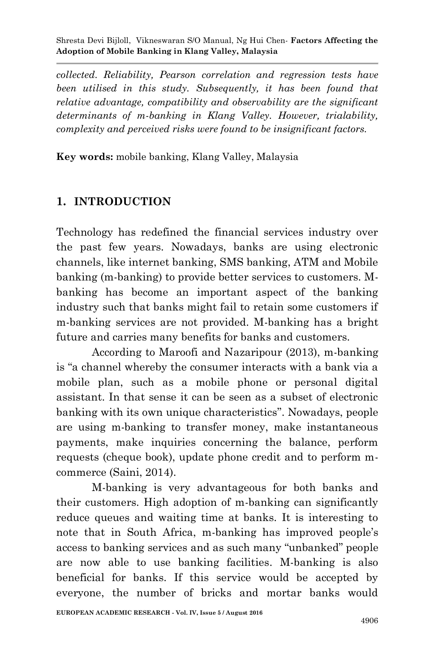*collected. Reliability, Pearson correlation and regression tests have been utilised in this study. Subsequently, it has been found that relative advantage, compatibility and observability are the significant determinants of m-banking in Klang Valley. However, trialability, complexity and perceived risks were found to be insignificant factors.* 

**Key words:** mobile banking, Klang Valley, Malaysia

#### **1. INTRODUCTION**

Technology has redefined the financial services industry over the past few years. Nowadays, banks are using electronic channels, like internet banking, SMS banking, ATM and Mobile banking (m-banking) to provide better services to customers. Mbanking has become an important aspect of the banking industry such that banks might fail to retain some customers if m-banking services are not provided. M-banking has a bright future and carries many benefits for banks and customers.

According to Maroofi and Nazaripour (2013), m-banking is "a channel whereby the consumer interacts with a bank via a mobile plan, such as a mobile phone or personal digital assistant. In that sense it can be seen as a subset of electronic banking with its own unique characteristics". Nowadays, people are using m-banking to transfer money, make instantaneous payments, make inquiries concerning the balance, perform requests (cheque book), update phone credit and to perform mcommerce (Saini, 2014).

M-banking is very advantageous for both banks and their customers. High adoption of m-banking can significantly reduce queues and waiting time at banks. It is interesting to note that in South Africa, m-banking has improved people's access to banking services and as such many "unbanked" people are now able to use banking facilities. M-banking is also beneficial for banks. If this service would be accepted by everyone, the number of bricks and mortar banks would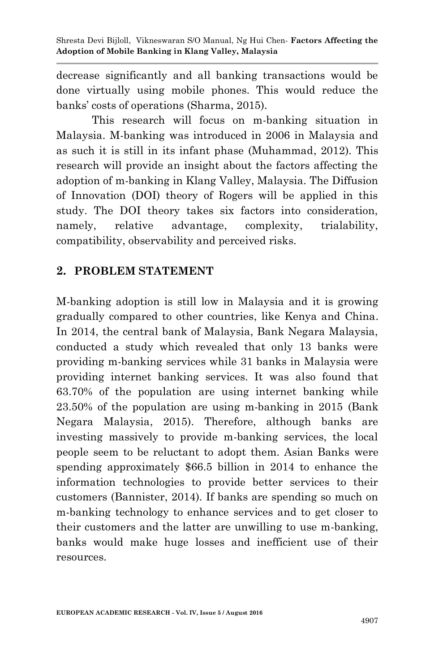decrease significantly and all banking transactions would be done virtually using mobile phones. This would reduce the banks' costs of operations (Sharma, 2015).

This research will focus on m-banking situation in Malaysia. M-banking was introduced in 2006 in Malaysia and as such it is still in its infant phase (Muhammad, 2012). This research will provide an insight about the factors affecting the adoption of m-banking in Klang Valley, Malaysia. The Diffusion of Innovation (DOI) theory of Rogers will be applied in this study. The DOI theory takes six factors into consideration, namely, relative advantage, complexity, trialability, compatibility, observability and perceived risks.

## **2. PROBLEM STATEMENT**

M-banking adoption is still low in Malaysia and it is growing gradually compared to other countries, like Kenya and China. In 2014, the central bank of Malaysia, Bank Negara Malaysia, conducted a study which revealed that only 13 banks were providing m-banking services while 31 banks in Malaysia were providing internet banking services. It was also found that 63.70% of the population are using internet banking while 23.50% of the population are using m-banking in 2015 (Bank Negara Malaysia, 2015). Therefore, although banks are investing massively to provide m-banking services, the local people seem to be reluctant to adopt them. Asian Banks were spending approximately \$66.5 billion in 2014 to enhance the information technologies to provide better services to their customers (Bannister, 2014). If banks are spending so much on m-banking technology to enhance services and to get closer to their customers and the latter are unwilling to use m-banking, banks would make huge losses and inefficient use of their resources.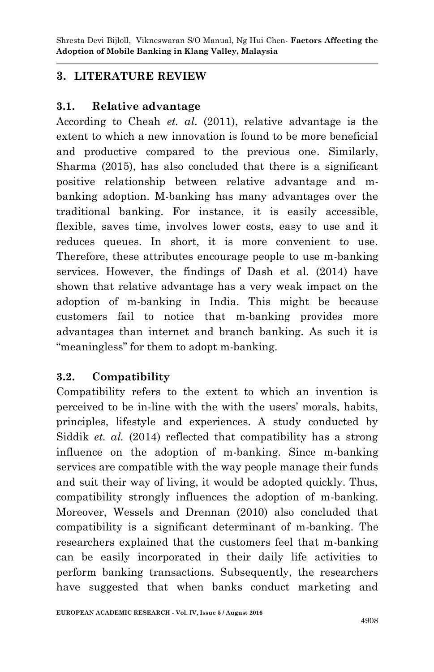### **3. LITERATURE REVIEW**

#### **3.1. Relative advantage**

According to Cheah *et. al*. (2011), relative advantage is the extent to which a new innovation is found to be more beneficial and productive compared to the previous one. Similarly, Sharma (2015), has also concluded that there is a significant positive relationship between relative advantage and mbanking adoption. M-banking has many advantages over the traditional banking. For instance, it is easily accessible, flexible, saves time, involves lower costs, easy to use and it reduces queues. In short, it is more convenient to use. Therefore, these attributes encourage people to use m-banking services. However, the findings of Dash et al. (2014) have shown that relative advantage has a very weak impact on the adoption of m-banking in India. This might be because customers fail to notice that m-banking provides more advantages than internet and branch banking. As such it is "meaningless" for them to adopt m-banking.

#### **3.2. Compatibility**

Compatibility refers to the extent to which an invention is perceived to be in-line with the with the users' morals, habits, principles, lifestyle and experiences. A study conducted by Siddik *et. al.* (2014) reflected that compatibility has a strong influence on the adoption of m-banking. Since m-banking services are compatible with the way people manage their funds and suit their way of living, it would be adopted quickly. Thus, compatibility strongly influences the adoption of m-banking. Moreover, Wessels and Drennan (2010) also concluded that compatibility is a significant determinant of m-banking. The researchers explained that the customers feel that m-banking can be easily incorporated in their daily life activities to perform banking transactions. Subsequently, the researchers have suggested that when banks conduct marketing and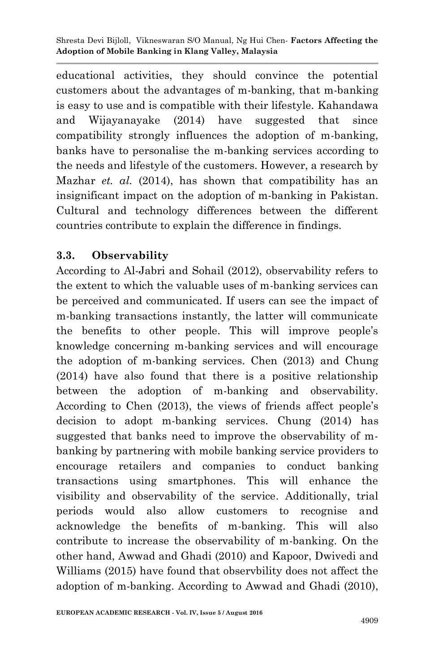educational activities, they should convince the potential customers about the advantages of m-banking, that m-banking is easy to use and is compatible with their lifestyle. Kahandawa and Wijayanayake (2014) have suggested that since compatibility strongly influences the adoption of m-banking, banks have to personalise the m-banking services according to the needs and lifestyle of the customers. However, a research by Mazhar *et. al.* (2014), has shown that compatibility has an insignificant impact on the adoption of m-banking in Pakistan. Cultural and technology differences between the different countries contribute to explain the difference in findings.

### **3.3. Observability**

According to Al-Jabri and Sohail (2012), observability refers to the extent to which the valuable uses of m-banking services can be perceived and communicated. If users can see the impact of m-banking transactions instantly, the latter will communicate the benefits to other people. This will improve people's knowledge concerning m-banking services and will encourage the adoption of m-banking services. Chen (2013) and Chung (2014) have also found that there is a positive relationship between the adoption of m-banking and observability. According to Chen (2013), the views of friends affect people's decision to adopt m-banking services. Chung (2014) has suggested that banks need to improve the observability of mbanking by partnering with mobile banking service providers to encourage retailers and companies to conduct banking transactions using smartphones. This will enhance the visibility and observability of the service. Additionally, trial periods would also allow customers to recognise and acknowledge the benefits of m-banking. This will also contribute to increase the observability of m-banking. On the other hand, Awwad and Ghadi (2010) and Kapoor, Dwivedi and Williams (2015) have found that observbility does not affect the adoption of m-banking. According to Awwad and Ghadi (2010),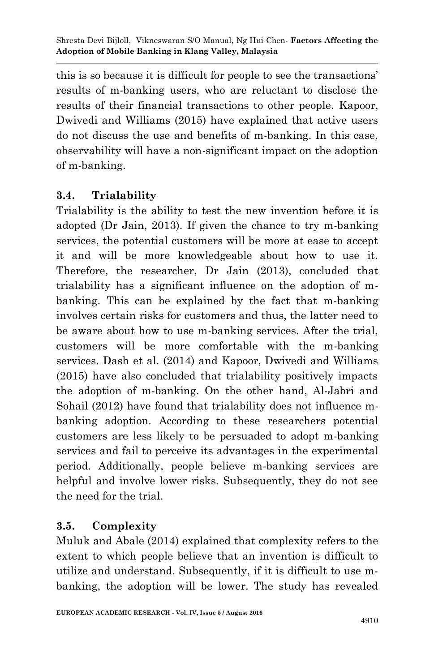this is so because it is difficult for people to see the transactions' results of m-banking users, who are reluctant to disclose the results of their financial transactions to other people. Kapoor, Dwivedi and Williams (2015) have explained that active users do not discuss the use and benefits of m-banking. In this case, observability will have a non-significant impact on the adoption of m-banking.

# **3.4. Trialability**

Trialability is the ability to test the new invention before it is adopted (Dr Jain, 2013). If given the chance to try m-banking services, the potential customers will be more at ease to accept it and will be more knowledgeable about how to use it. Therefore, the researcher, Dr Jain (2013), concluded that trialability has a significant influence on the adoption of mbanking. This can be explained by the fact that m-banking involves certain risks for customers and thus, the latter need to be aware about how to use m-banking services. After the trial, customers will be more comfortable with the m-banking services. Dash et al. (2014) and Kapoor, Dwivedi and Williams (2015) have also concluded that trialability positively impacts the adoption of m-banking. On the other hand, Al-Jabri and Sohail (2012) have found that trialability does not influence mbanking adoption. According to these researchers potential customers are less likely to be persuaded to adopt m-banking services and fail to perceive its advantages in the experimental period. Additionally, people believe m-banking services are helpful and involve lower risks. Subsequently, they do not see the need for the trial.

# **3.5. Complexity**

Muluk and Abale (2014) explained that complexity refers to the extent to which people believe that an invention is difficult to utilize and understand. Subsequently, if it is difficult to use mbanking, the adoption will be lower. The study has revealed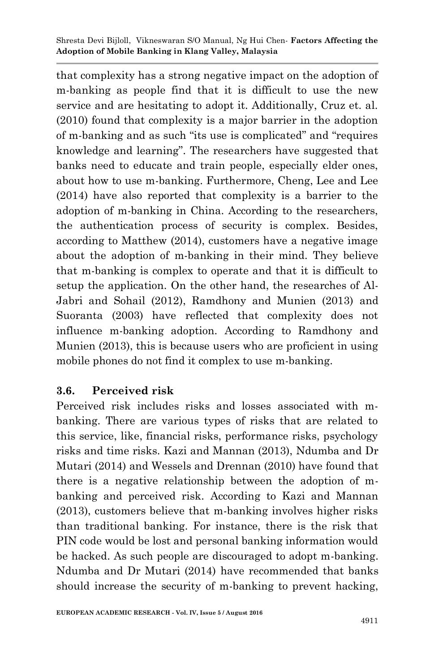that complexity has a strong negative impact on the adoption of m-banking as people find that it is difficult to use the new service and are hesitating to adopt it. Additionally, Cruz et. al. (2010) found that complexity is a major barrier in the adoption of m-banking and as such "its use is complicated" and "requires knowledge and learning". The researchers have suggested that banks need to educate and train people, especially elder ones, about how to use m-banking. Furthermore, Cheng, Lee and Lee (2014) have also reported that complexity is a barrier to the adoption of m-banking in China. According to the researchers, the authentication process of security is complex. Besides, according to Matthew (2014), customers have a negative image about the adoption of m-banking in their mind. They believe that m-banking is complex to operate and that it is difficult to setup the application. On the other hand, the researches of Al-Jabri and Sohail (2012), Ramdhony and Munien (2013) and Suoranta (2003) have reflected that complexity does not influence m-banking adoption. According to Ramdhony and Munien (2013), this is because users who are proficient in using mobile phones do not find it complex to use m-banking.

#### **3.6. Perceived risk**

Perceived risk includes risks and losses associated with mbanking. There are various types of risks that are related to this service, like, financial risks, performance risks, psychology risks and time risks. Kazi and Mannan (2013), Ndumba and Dr Mutari (2014) and Wessels and Drennan (2010) have found that there is a negative relationship between the adoption of mbanking and perceived risk. According to Kazi and Mannan (2013), customers believe that m-banking involves higher risks than traditional banking. For instance, there is the risk that PIN code would be lost and personal banking information would be hacked. As such people are discouraged to adopt m-banking. Ndumba and Dr Mutari (2014) have recommended that banks should increase the security of m-banking to prevent hacking,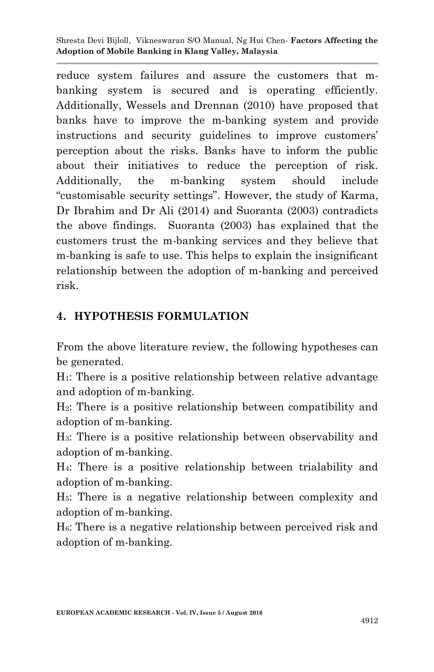reduce system failures and assure the customers that mbanking system is secured and is operating efficiently. Additionally, Wessels and Drennan (2010) have proposed that banks have to improve the m-banking system and provide instructions and security guidelines to improve customers' perception about the risks. Banks have to inform the public about their initiatives to reduce the perception of risk. Additionally, the m-banking system should include "customisable security settings". However, the study of Karma, Dr Ibrahim and Dr Ali (2014) and Suoranta (2003) contradicts the above findings. Suoranta (2003) has explained that the customers trust the m-banking services and they believe that m-banking is safe to use. This helps to explain the insignificant relationship between the adoption of m-banking and perceived risk.

### **4. HYPOTHESIS FORMULATION**

From the above literature review, the following hypotheses can be generated.

H1: There is a positive relationship between relative advantage and adoption of m-banking.

H2: There is a positive relationship between compatibility and adoption of m-banking.

H3: There is a positive relationship between observability and adoption of m-banking.

H4: There is a positive relationship between trialability and adoption of m-banking.

H5: There is a negative relationship between complexity and adoption of m-banking.

H6: There is a negative relationship between perceived risk and adoption of m-banking.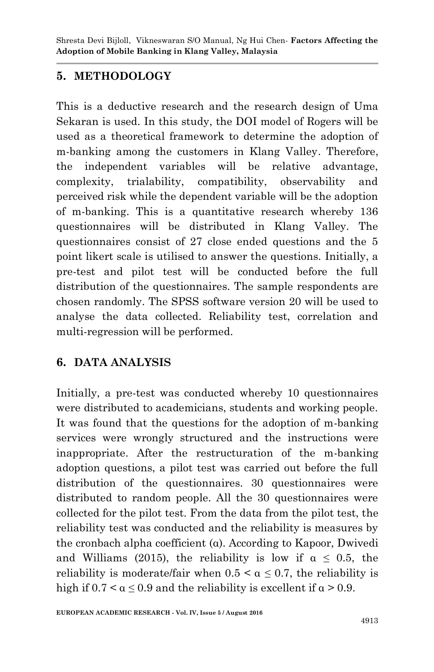### **5. METHODOLOGY**

This is a deductive research and the research design of Uma Sekaran is used. In this study, the DOI model of Rogers will be used as a theoretical framework to determine the adoption of m-banking among the customers in Klang Valley. Therefore, the independent variables will be relative advantage, complexity, trialability, compatibility, observability and perceived risk while the dependent variable will be the adoption of m-banking. This is a quantitative research whereby 136 questionnaires will be distributed in Klang Valley. The questionnaires consist of 27 close ended questions and the 5 point likert scale is utilised to answer the questions. Initially, a pre-test and pilot test will be conducted before the full distribution of the questionnaires. The sample respondents are chosen randomly. The SPSS software version 20 will be used to analyse the data collected. Reliability test, correlation and multi-regression will be performed.

# **6. DATA ANALYSIS**

Initially, a pre-test was conducted whereby 10 questionnaires were distributed to academicians, students and working people. It was found that the questions for the adoption of m-banking services were wrongly structured and the instructions were inappropriate. After the restructuration of the m-banking adoption questions, a pilot test was carried out before the full distribution of the questionnaires. 30 questionnaires were distributed to random people. All the 30 questionnaires were collected for the pilot test. From the data from the pilot test, the reliability test was conducted and the reliability is measures by the cronbach alpha coefficient (α). According to Kapoor, Dwivedi and Williams (2015), the reliability is low if  $\alpha \leq 0.5$ , the reliability is moderate/fair when  $0.5 < \alpha \leq 0.7$ , the reliability is high if  $0.7 < \alpha \leq 0.9$  and the reliability is excellent if  $\alpha > 0.9$ .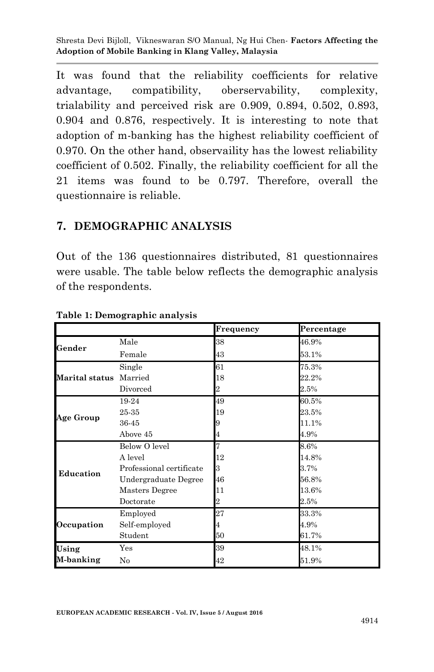It was found that the reliability coefficients for relative advantage, compatibility, oberservability, complexity, trialability and perceived risk are 0.909, 0.894, 0.502, 0.893, 0.904 and 0.876, respectively. It is interesting to note that adoption of m-banking has the highest reliability coefficient of 0.970. On the other hand, observaility has the lowest reliability coefficient of 0.502. Finally, the reliability coefficient for all the 21 items was found to be 0.797. Therefore, overall the questionnaire is reliable.

#### **7. DEMOGRAPHIC ANALYSIS**

Out of the 136 questionnaires distributed, 81 questionnaires were usable. The table below reflects the demographic analysis of the respondents.

|                |                          | Frequency | Percentage |
|----------------|--------------------------|-----------|------------|
| Gender         | Male                     | 38        | 46.9%      |
|                | Female                   | 43        | 53.1%      |
| Marital status | Single                   | 61        | 75.3%      |
|                | Married                  | 18        | 22.2%      |
|                | Divorced                 | 2         | $2.5\%$    |
|                | 19-24                    | 49        | 60.5%      |
|                | 25-35                    | 19        | 23.5%      |
| Age Group      | 36-45                    |           | 11.1%      |
|                | Above 45                 |           | 4.9%       |
|                | Below O level            |           | 8.6%       |
|                | A level                  | 12        | 14.8%      |
| Education      | Professional certificate | 3         | 3.7%       |
|                | Undergraduate Degree     | 46        | 56.8%      |
|                | Masters Degree           | 11        | 13.6%      |
|                | Doctorate                | 2         | 2.5%       |
| Occupation     | Employed                 | 27        | 33.3%      |
|                | Self-employed            | 4         | 4.9%       |
|                | Student                  | 50        | 61.7%      |
| Using          | $_{\rm Yes}$             | 39        | 48.1%      |
| M-banking      | No                       | 42        | 51.9%      |

**Table 1: Demographic analysis**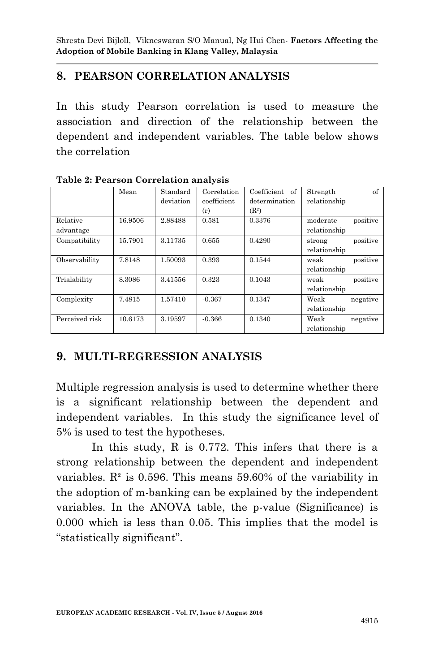### **8. PEARSON CORRELATION ANALYSIS**

In this study Pearson correlation is used to measure the association and direction of the relationship between the dependent and independent variables. The table below shows the correlation

|                | Mean    | Standard  | Correlation | Coefficient of    | Strength     | of       |
|----------------|---------|-----------|-------------|-------------------|--------------|----------|
|                |         | deviation | coefficient | determination     | relationship |          |
|                |         |           | (r)         | (R <sup>2</sup> ) |              |          |
| Relative       | 16.9506 | 2.88488   | 0.581       | 0.3376            | moderate     | positive |
| advantage      |         |           |             |                   | relationship |          |
| Compatibility  | 15.7901 | 3.11735   | 0.655       | 0.4290            | strong       | positive |
|                |         |           |             |                   | relationship |          |
| Observability  | 7.8148  | 1.50093   | 0.393       | 0.1544            | weak         | positive |
|                |         |           |             |                   | relationship |          |
| Trialability   | 8.3086  | 3.41556   | 0.323       | 0.1043            | weak         | positive |
|                |         |           |             |                   | relationship |          |
| Complexity     | 7.4815  | 1.57410   | $-0.367$    | 0.1347            | Weak         | negative |
|                |         |           |             |                   | relationship |          |
| Perceived risk | 10.6173 | 3.19597   | $-0.366$    | 0.1340            | Weak         | negative |
|                |         |           |             |                   | relationship |          |

**Table 2: Pearson Correlation analysis**

### **9. MULTI-REGRESSION ANALYSIS**

Multiple regression analysis is used to determine whether there is a significant relationship between the dependent and independent variables. In this study the significance level of 5% is used to test the hypotheses.

In this study, R is 0.772. This infers that there is a strong relationship between the dependent and independent variables.  $\mathbb{R}^2$  is 0.596. This means 59.60% of the variability in the adoption of m-banking can be explained by the independent variables. In the ANOVA table, the p-value (Significance) is 0.000 which is less than 0.05. This implies that the model is "statistically significant".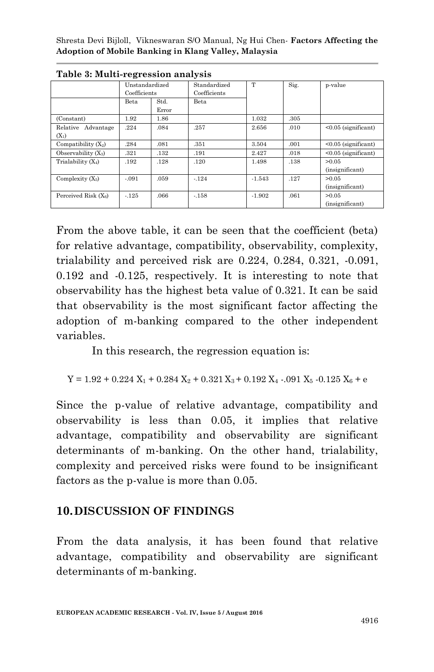|                               | Unstandardized<br>Coefficients |               | Standardized<br>Coefficients | T        | Sig. | p-value                  |
|-------------------------------|--------------------------------|---------------|------------------------------|----------|------|--------------------------|
|                               | Beta                           | Std.<br>Error | Beta                         |          |      |                          |
| (Constant)                    | 1.92                           | 1.86          |                              | 1.032    | .305 |                          |
| Relative Advantage<br>$(X_1)$ | .224                           | .084          | .257                         | 2.656    | .010 | $< 0.05$ (significant)   |
| Compatibility $(X_2)$         | .284                           | .081          | .351                         | 3.504    | .001 | $< 0.05$ (significant)   |
| Observability $(X_3)$         | .321                           | .132          | .191                         | 2.427    | .018 | $< 0.05$ (significant)   |
| Trialability $(X_4)$          | .192                           | .128          | .120                         | 1.498    | .138 | >0.05<br>(insignificant) |
| Complexity $(X_5)$            | $-.091$                        | .059          | $-.124$                      | $-1.543$ | .127 | >0.05<br>(insignificant) |
| Perceived Risk $(X_6)$        | $-.125$                        | .066          | $-.158$                      | $-1.902$ | .061 | >0.05<br>(insignificant) |

**Table 3: Multi-regression analysis**

From the above table, it can be seen that the coefficient (beta) for relative advantage, compatibility, observability, complexity, trialability and perceived risk are 0.224, 0.284, 0.321, -0.091, 0.192 and -0.125, respectively. It is interesting to note that observability has the highest beta value of 0.321. It can be said that observability is the most significant factor affecting the adoption of m-banking compared to the other independent variables.

In this research, the regression equation is:

$$
Y = 1.92 + 0.224 X_1 + 0.284 X_2 + 0.321 X_3 + 0.192 X_4 - 0.01 X_5 - 0.125 X_6 + e
$$

Since the p-value of relative advantage, compatibility and observability is less than 0.05, it implies that relative advantage, compatibility and observability are significant determinants of m-banking. On the other hand, trialability, complexity and perceived risks were found to be insignificant factors as the p-value is more than 0.05.

#### **10.DISCUSSION OF FINDINGS**

From the data analysis, it has been found that relative advantage, compatibility and observability are significant determinants of m-banking.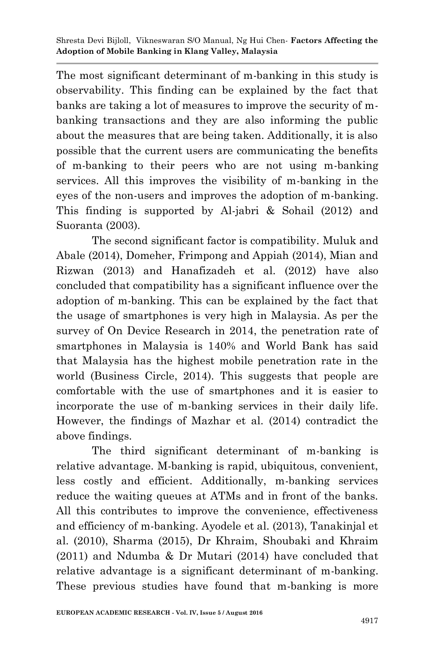The most significant determinant of m-banking in this study is observability. This finding can be explained by the fact that banks are taking a lot of measures to improve the security of mbanking transactions and they are also informing the public about the measures that are being taken. Additionally, it is also possible that the current users are communicating the benefits of m-banking to their peers who are not using m-banking services. All this improves the visibility of m-banking in the eyes of the non-users and improves the adoption of m-banking. This finding is supported by Al-jabri & Sohail (2012) and Suoranta (2003).

The second significant factor is compatibility. Muluk and Abale (2014), Domeher, Frimpong and Appiah (2014), Mian and Rizwan (2013) and Hanafizadeh et al. (2012) have also concluded that compatibility has a significant influence over the adoption of m-banking. This can be explained by the fact that the usage of smartphones is very high in Malaysia. As per the survey of On Device Research in 2014, the penetration rate of smartphones in Malaysia is 140% and World Bank has said that Malaysia has the highest mobile penetration rate in the world (Business Circle, 2014). This suggests that people are comfortable with the use of smartphones and it is easier to incorporate the use of m-banking services in their daily life. However, the findings of Mazhar et al. (2014) contradict the above findings.

The third significant determinant of m-banking is relative advantage. M-banking is rapid, ubiquitous, convenient, less costly and efficient. Additionally, m-banking services reduce the waiting queues at ATMs and in front of the banks. All this contributes to improve the convenience, effectiveness and efficiency of m-banking. Ayodele et al. (2013), Tanakinjal et al. (2010), Sharma (2015), Dr Khraim, Shoubaki and Khraim (2011) and Ndumba & Dr Mutari (2014) have concluded that relative advantage is a significant determinant of m-banking. These previous studies have found that m-banking is more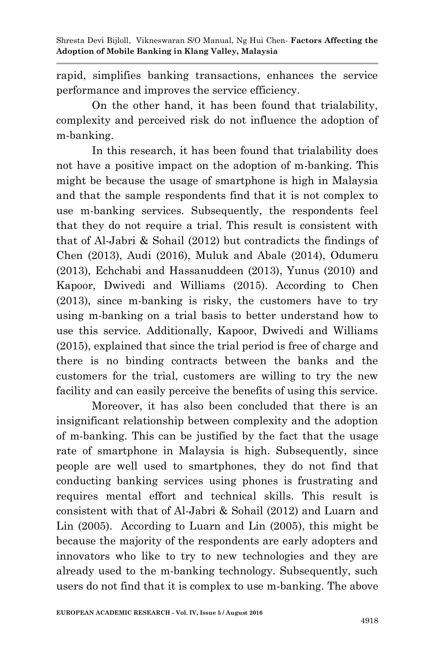rapid, simplifies banking transactions, enhances the service performance and improves the service efficiency.

On the other hand, it has been found that trialability, complexity and perceived risk do not influence the adoption of m-banking.

In this research, it has been found that trialability does not have a positive impact on the adoption of m-banking. This might be because the usage of smartphone is high in Malaysia and that the sample respondents find that it is not complex to use m-banking services. Subsequently, the respondents feel that they do not require a trial. This result is consistent with that of Al-Jabri & Sohail (2012) but contradicts the findings of Chen (2013), Audi (2016), Muluk and Abale (2014), Odumeru (2013), Echchabi and Hassanuddeen (2013), Yunus (2010) and Kapoor, Dwivedi and Williams (2015). According to Chen (2013), since m-banking is risky, the customers have to try using m-banking on a trial basis to better understand how to use this service. Additionally, Kapoor, Dwivedi and Williams (2015), explained that since the trial period is free of charge and there is no binding contracts between the banks and the customers for the trial, customers are willing to try the new facility and can easily perceive the benefits of using this service.

Moreover, it has also been concluded that there is an insignificant relationship between complexity and the adoption of m-banking. This can be justified by the fact that the usage rate of smartphone in Malaysia is high. Subsequently, since people are well used to smartphones, they do not find that conducting banking services using phones is frustrating and requires mental effort and technical skills. This result is consistent with that of Al-Jabri & Sohail (2012) and Luarn and Lin (2005). According to Luarn and Lin (2005), this might be because the majority of the respondents are early adopters and innovators who like to try to new technologies and they are already used to the m-banking technology. Subsequently, such users do not find that it is complex to use m-banking. The above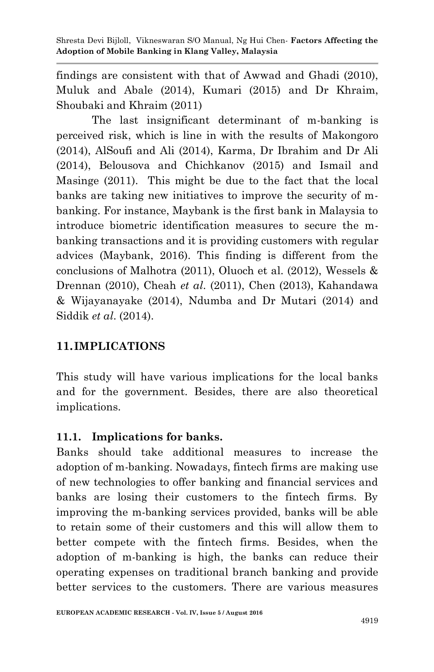findings are consistent with that of Awwad and Ghadi (2010), Muluk and Abale (2014), Kumari (2015) and Dr Khraim, Shoubaki and Khraim (2011)

The last insignificant determinant of m-banking is perceived risk, which is line in with the results of Makongoro (2014), AlSoufi and Ali (2014), Karma, Dr Ibrahim and Dr Ali (2014), Belousova and Chichkanov (2015) and Ismail and Masinge (2011). This might be due to the fact that the local banks are taking new initiatives to improve the security of mbanking. For instance, Maybank is the first bank in Malaysia to introduce biometric identification measures to secure the mbanking transactions and it is providing customers with regular advices (Maybank, 2016). This finding is different from the conclusions of Malhotra (2011), Oluoch et al. (2012), Wessels & Drennan (2010), Cheah *et al*. (2011), Chen (2013), Kahandawa & Wijayanayake (2014), Ndumba and Dr Mutari (2014) and Siddik *et al*. (2014).

### **11.IMPLICATIONS**

This study will have various implications for the local banks and for the government. Besides, there are also theoretical implications.

### **11.1. Implications for banks.**

Banks should take additional measures to increase the adoption of m-banking. Nowadays, fintech firms are making use of new technologies to offer banking and financial services and banks are losing their customers to the fintech firms. By improving the m-banking services provided, banks will be able to retain some of their customers and this will allow them to better compete with the fintech firms. Besides, when the adoption of m-banking is high, the banks can reduce their operating expenses on traditional branch banking and provide better services to the customers. There are various measures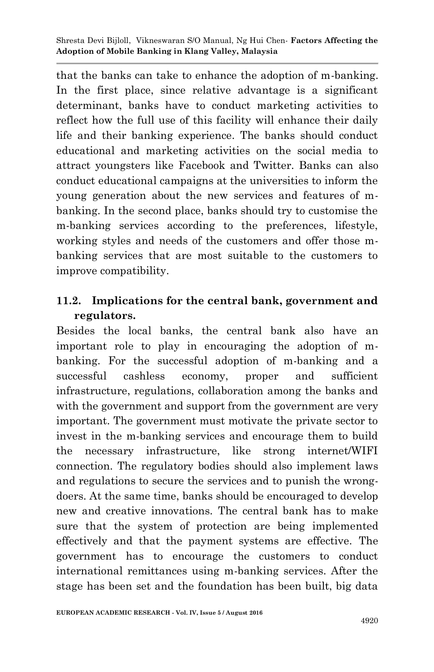that the banks can take to enhance the adoption of m-banking. In the first place, since relative advantage is a significant determinant, banks have to conduct marketing activities to reflect how the full use of this facility will enhance their daily life and their banking experience. The banks should conduct educational and marketing activities on the social media to attract youngsters like Facebook and Twitter. Banks can also conduct educational campaigns at the universities to inform the young generation about the new services and features of mbanking. In the second place, banks should try to customise the m-banking services according to the preferences, lifestyle, working styles and needs of the customers and offer those mbanking services that are most suitable to the customers to improve compatibility.

### **11.2. Implications for the central bank, government and regulators.**

Besides the local banks, the central bank also have an important role to play in encouraging the adoption of mbanking. For the successful adoption of m-banking and a successful cashless economy, proper and sufficient infrastructure, regulations, collaboration among the banks and with the government and support from the government are very important. The government must motivate the private sector to invest in the m-banking services and encourage them to build the necessary infrastructure, like strong internet/WIFI connection. The regulatory bodies should also implement laws and regulations to secure the services and to punish the wrongdoers. At the same time, banks should be encouraged to develop new and creative innovations. The central bank has to make sure that the system of protection are being implemented effectively and that the payment systems are effective. The government has to encourage the customers to conduct international remittances using m-banking services. After the stage has been set and the foundation has been built, big data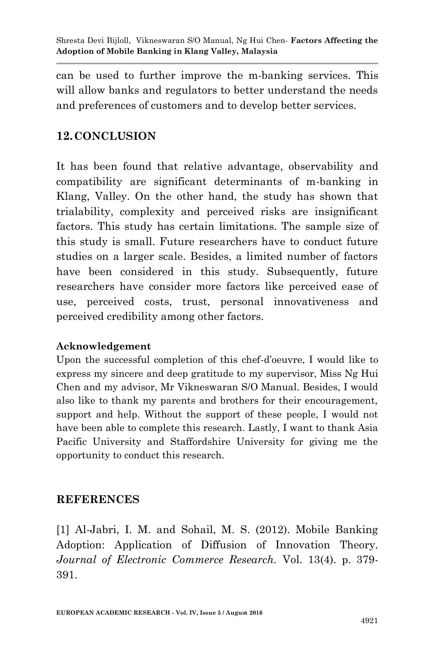can be used to further improve the m-banking services. This will allow banks and regulators to better understand the needs and preferences of customers and to develop better services.

### **12.CONCLUSION**

It has been found that relative advantage, observability and compatibility are significant determinants of m-banking in Klang, Valley. On the other hand, the study has shown that trialability, complexity and perceived risks are insignificant factors. This study has certain limitations. The sample size of this study is small. Future researchers have to conduct future studies on a larger scale. Besides, a limited number of factors have been considered in this study. Subsequently, future researchers have consider more factors like perceived ease of use, perceived costs, trust, personal innovativeness and perceived credibility among other factors.

#### **Acknowledgement**

Upon the successful completion of this chef-d'oeuvre, I would like to express my sincere and deep gratitude to my supervisor, Miss Ng Hui Chen and my advisor, Mr Vikneswaran S/O Manual. Besides, I would also like to thank my parents and brothers for their encouragement, support and help. Without the support of these people, I would not have been able to complete this research. Lastly, I want to thank Asia Pacific University and Staffordshire University for giving me the opportunity to conduct this research.

#### **REFERENCES**

[1] Al-Jabri, I. M. and Sohail, M. S. (2012). Mobile Banking Adoption: Application of Diffusion of Innovation Theory. *Journal of Electronic Commerce Research.* Vol. 13(4). p. 379- 391.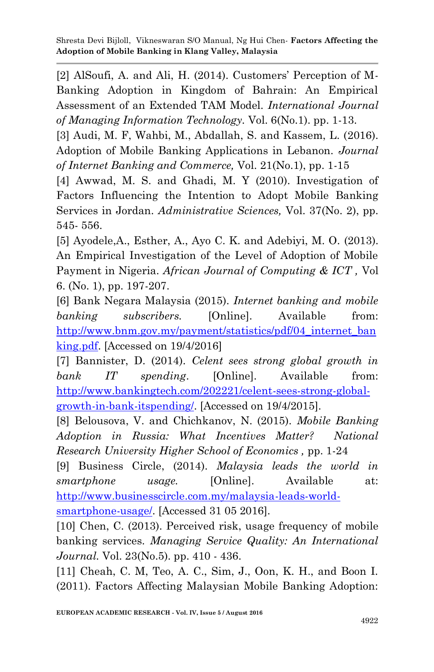[2] AlSoufi, A. and Ali, H. (2014). Customers' Perception of M-Banking Adoption in Kingdom of Bahrain: An Empirical Assessment of an Extended TAM Model. *International Journal of Managing Information Technology.* Vol. 6(No.1). pp. 1-13.

[3] Audi, M. F, Wahbi, M., Abdallah, S. and Kassem, L. (2016). Adoption of Mobile Banking Applications in Lebanon. *Journal of Internet Banking and Commerce,* Vol. 21(No.1), pp. 1-15

[4] Awwad, M. S. and Ghadi, M. Y (2010). Investigation of Factors Influencing the Intention to Adopt Mobile Banking Services in Jordan. *Administrative Sciences,* Vol. 37(No. 2), pp. 545- 556.

[5] Ayodele,A., Esther, A., Ayo C. K. and Adebiyi, M. O. (2013). An Empirical Investigation of the Level of Adoption of Mobile Payment in Nigeria. *African Journal of Computing & ICT ,* Vol 6. (No. 1), pp. 197-207.

[6] Bank Negara Malaysia (2015). *Internet banking and mobile banking subscribers.* [Online]. Available from: [http://www.bnm.gov.my/payment/statistics/pdf/04\\_internet\\_ban](http://www.bnm.gov.my/payment/statistics/pdf/04_internet_banking.pdf) [king.pdf.](http://www.bnm.gov.my/payment/statistics/pdf/04_internet_banking.pdf) [Accessed on 19/4/2016]

[7] Bannister, D. (2014). *Celent sees strong global growth in bank IT spending*. [Online]. Available from: [http://www.bankingtech.com/202221/celent-sees-strong-global](http://www.bankingtech.com/202221/celent-sees-strong-global-growth-in-bank-itspending/)[growth-in-bank-itspending/.](http://www.bankingtech.com/202221/celent-sees-strong-global-growth-in-bank-itspending/) [Accessed on 19/4/2015].

[8] Belousova, V. and Chichkanov, N. (2015). *Mobile Banking Adoption in Russia: What Incentives Matter? National Research University Higher School of Economics ,* pp. 1-24

[9] Business Circle, (2014). *Malaysia leads the world in smartphone usage.* [Online]. Available at: [http://www.businesscircle.com.my/malaysia-leads-world](http://www.businesscircle.com.my/malaysia-leads-world-smartphone-usage/)[smartphone-usage/.](http://www.businesscircle.com.my/malaysia-leads-world-smartphone-usage/) [Accessed 31 05 2016].

[10] Chen, C. (2013). Perceived risk, usage frequency of mobile banking services. *Managing Service Quality: An International Journal.* Vol. 23(No.5). pp. 410 - 436.

[11] Cheah, C. M, Teo, A. C., Sim, J., Oon, K. H., and Boon I. (2011). Factors Affecting Malaysian Mobile Banking Adoption: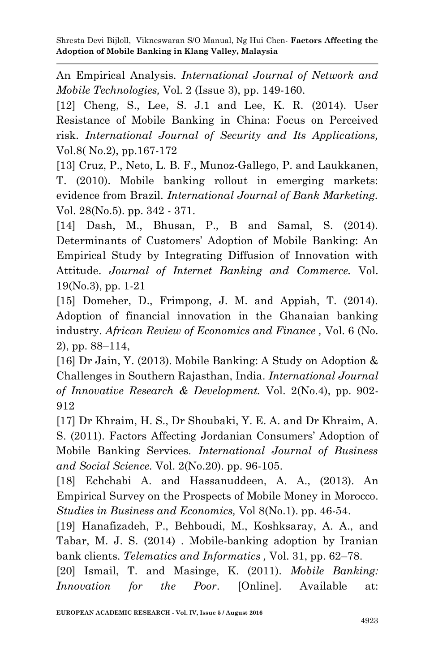An Empirical Analysis. *International Journal of Network and Mobile Technologies,* Vol. 2 (Issue 3), pp. 149-160.

[12] Cheng, S., Lee, S. J.1 and Lee, K. R. (2014). User Resistance of Mobile Banking in China: Focus on Perceived risk. *International Journal of Security and Its Applications,*  Vol.8( No.2), pp.167-172

[13] Cruz, P., Neto, L. B. F., Munoz-Gallego, P. and Laukkanen, T. (2010). Mobile banking rollout in emerging markets: evidence from Brazil. *International Journal of Bank Marketing.*  Vol. 28(No.5). pp. 342 - 371.

[14] Dash, M., Bhusan, P., B and Samal, S. (2014). Determinants of Customers' Adoption of Mobile Banking: An Empirical Study by Integrating Diffusion of Innovation with Attitude. *Journal of Internet Banking and Commerce.* Vol. 19(No.3), pp. 1-21

[15] Domeher, D., Frimpong, J. M. and Appiah, T. (2014). Adoption of financial innovation in the Ghanaian banking industry. *African Review of Economics and Finance ,* Vol. 6 (No. 2), pp. 88–114,

[16] Dr Jain, Y. (2013). Mobile Banking: A Study on Adoption & Challenges in Southern Rajasthan, India. *International Journal of Innovative Research & Development.* Vol. 2(No.4), pp. 902- 912

[17] Dr Khraim, H. S., Dr Shoubaki, Y. E. A. and Dr Khraim, A. S. (2011). Factors Affecting Jordanian Consumers' Adoption of Mobile Banking Services. *International Journal of Business and Social Science.* Vol. 2(No.20). pp. 96-105.

[18] Echchabi A. and Hassanuddeen, A. A., (2013). An Empirical Survey on the Prospects of Mobile Money in Morocco. *Studies in Business and Economics,* Vol 8(No.1). pp. 46-54.

[19] Hanafizadeh, P., Behboudi, M., Koshksaray, A. A., and Tabar, M. J. S. (2014) . Mobile-banking adoption by Iranian bank clients. *Telematics and Informatics ,* Vol. 31, pp. 62–78.

[20] Ismail, T. and Masinge, K. (2011). *Mobile Banking: Innovation for the Poor*. [Online]. Available at: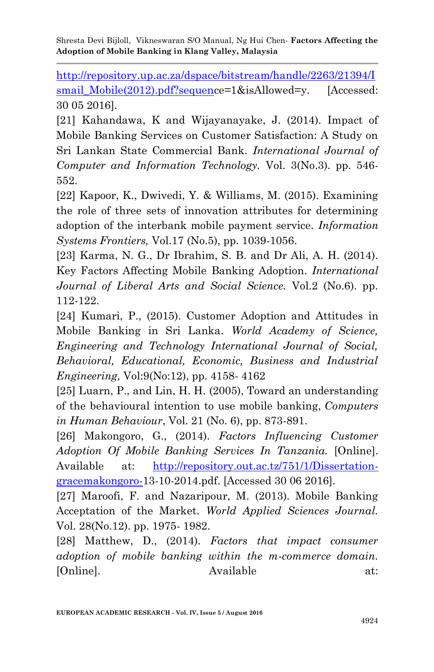[http://repository.up.ac.za/dspace/bitstream/handle/2263/21394/I](http://repository.up.ac.za/dspace/bitstream/handle/2263/21394/Ismail_Mobile(2012).pdf?sequen) smail Mobile(2012).pdf?sequence=1&isAllowed=y. [Accessed: 30 05 2016].

[21] Kahandawa, K and Wijayanayake, J. (2014). Impact of Mobile Banking Services on Customer Satisfaction: A Study on Sri Lankan State Commercial Bank. *International Journal of Computer and Information Technology.* Vol. 3(No.3). pp. 546- 552.

[22] Kapoor, K., Dwivedi, Y. & Williams, M. (2015). Examining the role of three sets of innovation attributes for determining adoption of the interbank mobile payment service. *Information Systems Frontiers,* Vol.17 (No.5), pp. 1039-1056.

[23] Karma, N. G., Dr Ibrahim, S. B. and Dr Ali, A. H. (2014). Key Factors Affecting Mobile Banking Adoption. *International Journal of Liberal Arts and Social Science.* Vol.2 (No.6). pp. 112-122.

[24] Kumari, P., (2015). Customer Adoption and Attitudes in Mobile Banking in Sri Lanka. *World Academy of Science, Engineering and Technology International Journal of Social, Behavioral, Educational, Economic, Business and Industrial Engineering,* Vol:9(No:12), pp. 4158- 4162

[25] Luarn, P., and Lin, H. H. (2005), Toward an understanding of the behavioural intention to use mobile banking, *Computers in Human Behaviour*, Vol. 21 (No. 6), pp. 873-891.

[26] Makongoro, G., (2014). *Factors Influencing Customer Adoption Of Mobile Banking Services In Tanzania.* [Online]. Available at: [http://repository.out.ac.tz/751/1/Dissertation](http://repository.out.ac.tz/751/1/Dissertation-gracemakongoro-)[gracemakongoro-1](http://repository.out.ac.tz/751/1/Dissertation-gracemakongoro-)3-10-2014.pdf. [Accessed 30 06 2016].

[27] Maroofi, F. and Nazaripour, M. (2013). Mobile Banking Acceptation of the Market. *World Applied Sciences Journal.*  Vol. 28(No.12). pp. 1975- 1982.

[28] Matthew, D., (2014). *Factors that impact consumer adoption of mobile banking within the m-commerce domain.*  [Online]. Available at: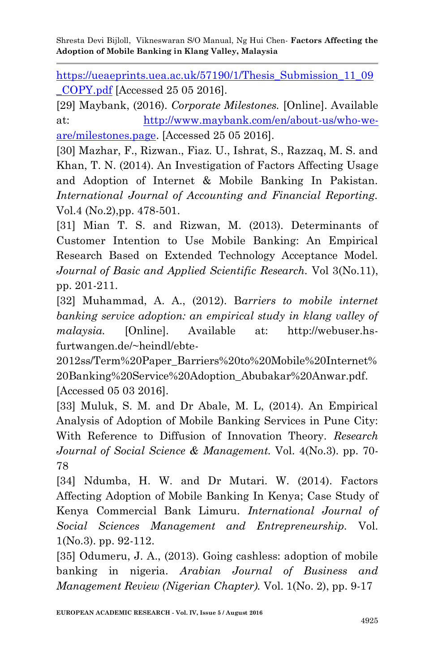https://ueaeprints.uea.ac.uk/57190/1/Thesis Submission 11\_09 [\\_COPY.pdf](https://ueaeprints.uea.ac.uk/57190/1/Thesis_Submission_11_09_COPY.pdf) [Accessed 25 05 2016].

[29] Maybank, (2016). *Corporate Milestones.* [Online]. Available at: [http://www.maybank.com/en/about-us/who-we](http://www.maybank.com/en/about-us/who-we-are/milestones.page)[are/milestones.page.](http://www.maybank.com/en/about-us/who-we-are/milestones.page) [Accessed 25 05 2016].

[30] Mazhar, F., Rizwan., Fiaz. U., Ishrat, S., Razzaq, M. S. and Khan, T. N. (2014). An Investigation of Factors Affecting Usage and Adoption of Internet & Mobile Banking In Pakistan. *International Journal of Accounting and Financial Reporting.*  Vol.4 (No.2),pp. 478-501.

[31] Mian T. S. and Rizwan, M. (2013). Determinants of Customer Intention to Use Mobile Banking: An Empirical Research Based on Extended Technology Acceptance Model. *Journal of Basic and Applied Scientific Research.* Vol 3(No.11), pp. 201-211.

[32] Muhammad, A. A., (2012). B*arriers to mobile internet banking service adoption: an empirical study in klang valley of malaysia.* [Online]. Available at: http://webuser.hsfurtwangen.de/~heindl/ebte-

2012ss/Term%20Paper\_Barriers%20to%20Mobile%20Internet% 20Banking%20Service%20Adoption\_Abubakar%20Anwar.pdf. [Accessed 05 03 2016].

[33] Muluk, S. M. and Dr Abale, M. L, (2014). An Empirical Analysis of Adoption of Mobile Banking Services in Pune City: With Reference to Diffusion of Innovation Theory. *Research Journal of Social Science & Management.* Vol. 4(No.3). pp. 70- 78

[34] Ndumba, H. W. and Dr Mutari. W. (2014). Factors Affecting Adoption of Mobile Banking In Kenya; Case Study of Kenya Commercial Bank Limuru. *International Journal of Social Sciences Management and Entrepreneurship.* Vol. 1(No.3). pp. 92-112.

[35] Odumeru, J. A., (2013). Going cashless: adoption of mobile banking in nigeria. *Arabian Journal of Business and Management Review (Nigerian Chapter).* Vol. 1(No. 2), pp. 9-17